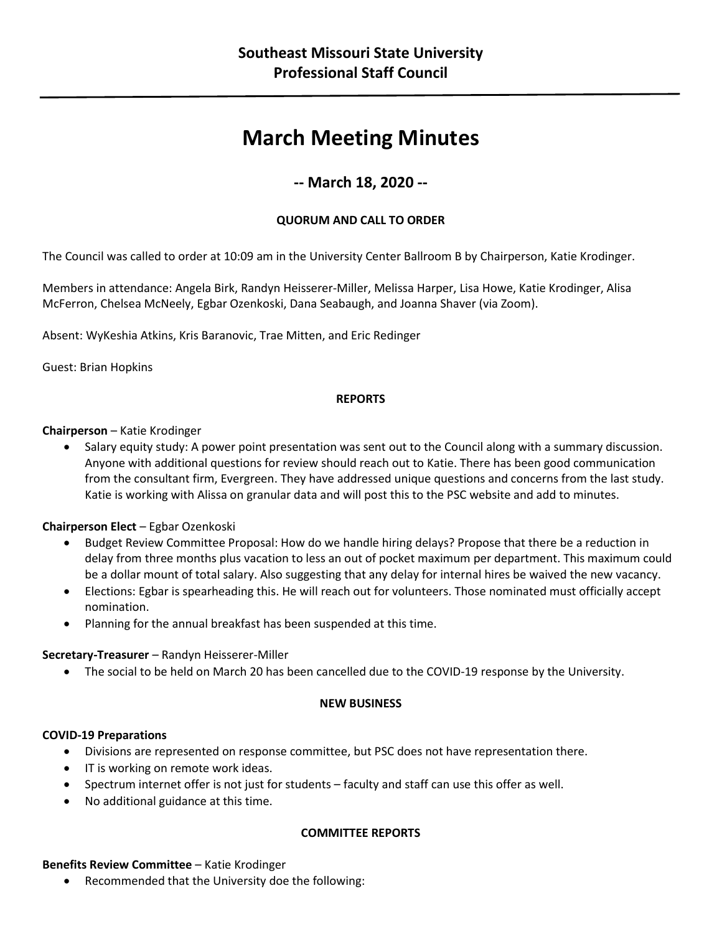# **March Meeting Minutes**

# **-- March 18, 2020 --**

# **QUORUM AND CALL TO ORDER**

The Council was called to order at 10:09 am in the University Center Ballroom B by Chairperson, Katie Krodinger.

Members in attendance: Angela Birk, Randyn Heisserer-Miller, Melissa Harper, Lisa Howe, Katie Krodinger, Alisa McFerron, Chelsea McNeely, Egbar Ozenkoski, Dana Seabaugh, and Joanna Shaver (via Zoom).

Absent: WyKeshia Atkins, Kris Baranovic, Trae Mitten, and Eric Redinger

Guest: Brian Hopkins

# **REPORTS**

# **Chairperson** – Katie Krodinger

• Salary equity study: A power point presentation was sent out to the Council along with a summary discussion. Anyone with additional questions for review should reach out to Katie. There has been good communication from the consultant firm, Evergreen. They have addressed unique questions and concerns from the last study. Katie is working with Alissa on granular data and will post this to the PSC website and add to minutes.

# **Chairperson Elect** – Egbar Ozenkoski

- Budget Review Committee Proposal: How do we handle hiring delays? Propose that there be a reduction in delay from three months plus vacation to less an out of pocket maximum per department. This maximum could be a dollar mount of total salary. Also suggesting that any delay for internal hires be waived the new vacancy.
- Elections: Egbar is spearheading this. He will reach out for volunteers. Those nominated must officially accept nomination.
- Planning for the annual breakfast has been suspended at this time.

# **Secretary-Treasurer** – Randyn Heisserer-Miller

• The social to be held on March 20 has been cancelled due to the COVID-19 response by the University.

# **NEW BUSINESS**

# **COVID-19 Preparations**

- Divisions are represented on response committee, but PSC does not have representation there.
- IT is working on remote work ideas.
- Spectrum internet offer is not just for students faculty and staff can use this offer as well.
- No additional guidance at this time.

# **COMMITTEE REPORTS**

# **Benefits Review Committee** – Katie Krodinger

• Recommended that the University doe the following: